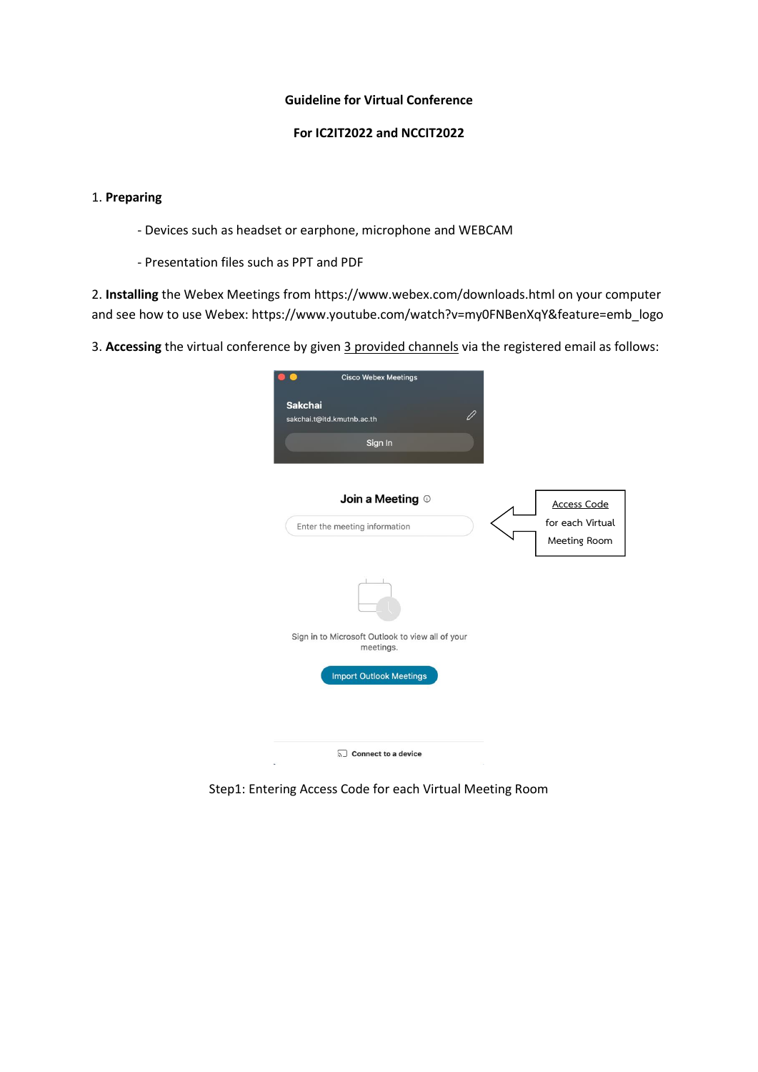## **Guideline for Virtual Conference**

## **For IC2IT2022 and NCCIT2022**

## 1. **Preparing**

- Devices such as headset or earphone, microphone and WEBCAM
- Presentation files such as PPT and PDF

2. **Installing** the Webex Meetings from https://www.webex.com/downloads.html on your computer and see how to use Webex: https://www.youtube.com/watch?v=my0FNBenXqY&feature=emb\_logo

3. **Accessing** the virtual conference by given 3 provided channels via the registered email as follows:

|                | <b>Cisco Webex Meetings</b>                                   |                          |                                  |
|----------------|---------------------------------------------------------------|--------------------------|----------------------------------|
| <b>Sakchai</b> | sakchai.t@itd.kmutnb.ac.th                                    | $\overline{\mathscr{O}}$ |                                  |
|                | Sign In                                                       |                          |                                  |
|                | Join a Meeting $\odot$                                        |                          | <b>Access Code</b>               |
|                | Enter the meeting information                                 |                          | for each Virtual<br>Meeting Room |
|                |                                                               |                          |                                  |
|                | Sign in to Microsoft Outlook to view all of your<br>meetings. |                          |                                  |
|                | <b>Import Outlook Meetings</b>                                |                          |                                  |
|                |                                                               |                          |                                  |
|                | $\sqrt{2}$ Connect to a device                                |                          |                                  |

Step1: Entering Access Code for each Virtual Meeting Room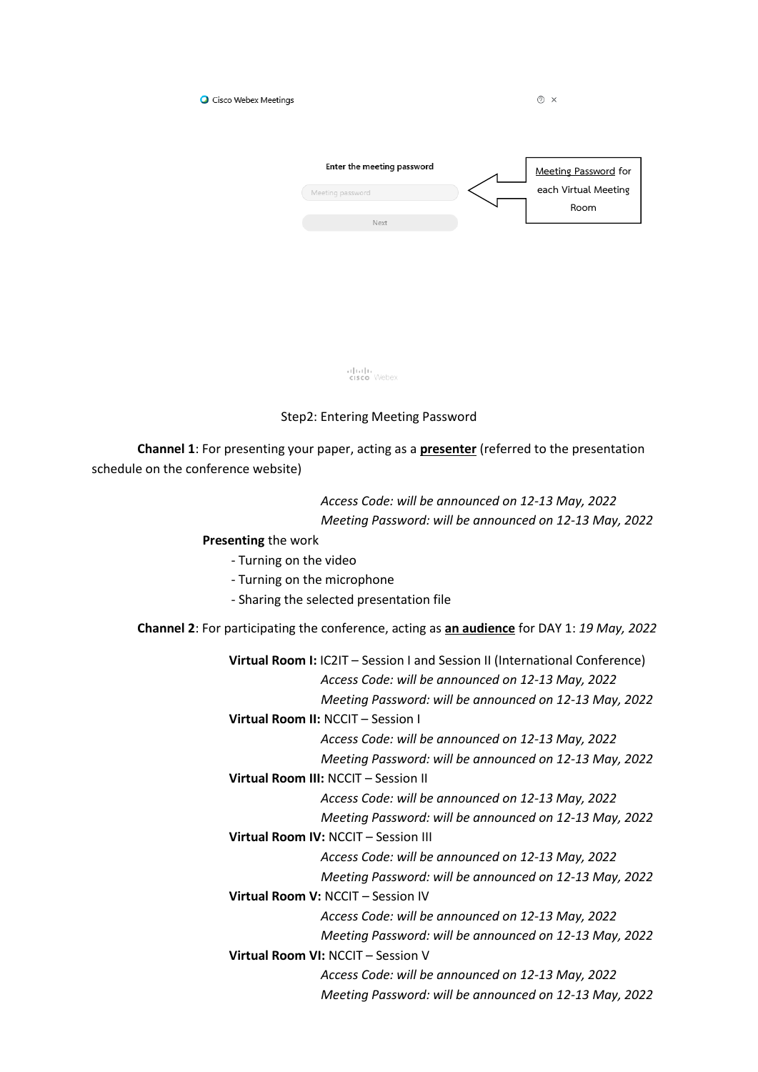| O Cisco Webex Meetings |                            | ②<br>X                       |
|------------------------|----------------------------|------------------------------|
|                        | Enter the meeting password | Meeting Password for         |
|                        | Meeting password           | each Virtual Meeting<br>Room |
|                        | Next                       |                              |

alrah<br>**cisco** Webex

## Step2: Entering Meeting Password

 **Channel 1**: For presenting your paper, acting as a **presenter** (referred to the presentation schedule on the conference website)

> *Access Code: will be announced on 12-13 May, 2022 Meeting Password: will be announced on 12-13 May, 2022*

 **Presenting** the work

- Turning on the video

- Turning on the microphone

- Sharing the selected presentation file

**Channel 2**: For participating the conference, acting as **an audience** for DAY 1: *19 May, 2022*

|                                      | Virtual Room I: IC2IT - Session I and Session II (International Conference) |  |  |  |
|--------------------------------------|-----------------------------------------------------------------------------|--|--|--|
|                                      | Access Code: will be announced on 12-13 May, 2022                           |  |  |  |
|                                      | Meeting Password: will be announced on 12-13 May, 2022                      |  |  |  |
| Virtual Room II: NCCIT - Session I   |                                                                             |  |  |  |
|                                      | Access Code: will be announced on 12-13 May, 2022                           |  |  |  |
|                                      | Meeting Password: will be announced on 12-13 May, 2022                      |  |  |  |
| Virtual Room III: NCCIT - Session II |                                                                             |  |  |  |
|                                      | Access Code: will be announced on 12-13 May, 2022                           |  |  |  |
|                                      | Meeting Password: will be announced on 12-13 May, 2022                      |  |  |  |
| Virtual Room IV: NCCIT - Session III |                                                                             |  |  |  |
|                                      | Access Code: will be announced on 12-13 May, 2022                           |  |  |  |
|                                      | Meeting Password: will be announced on 12-13 May, 2022                      |  |  |  |
| Virtual Room V: NCCIT - Session IV   |                                                                             |  |  |  |
|                                      | Access Code: will be announced on 12-13 May, 2022                           |  |  |  |
|                                      | Meeting Password: will be announced on 12-13 May, 2022                      |  |  |  |
| Virtual Room VI: NCCIT - Session V   |                                                                             |  |  |  |
|                                      | Access Code: will be announced on 12-13 May, 2022                           |  |  |  |
|                                      | Meeting Password: will be announced on 12-13 May, 2022                      |  |  |  |
|                                      |                                                                             |  |  |  |